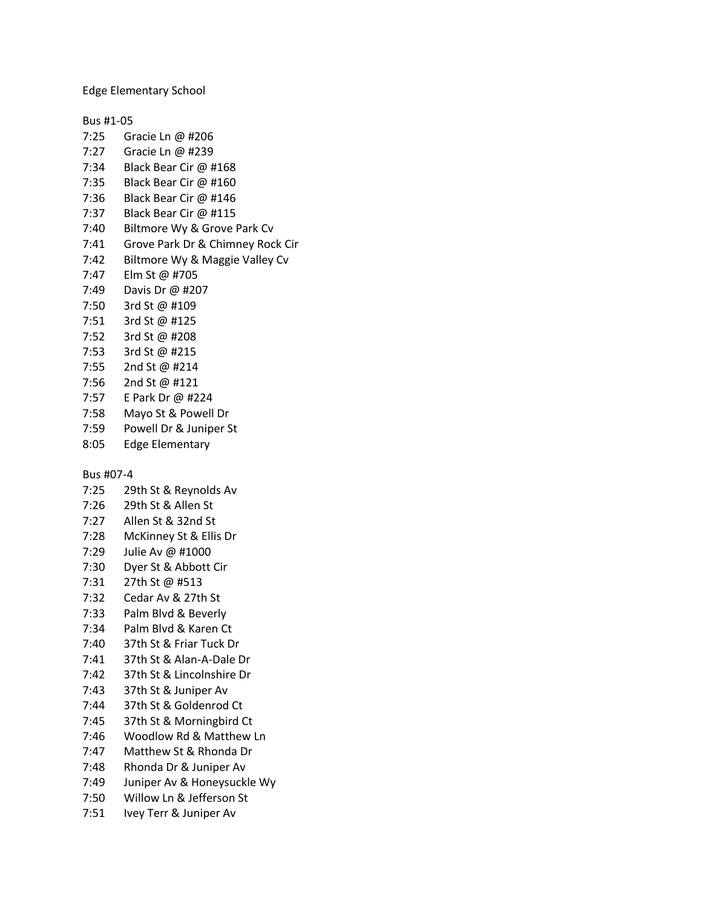Edge Elementary School

Bus #1-05

- 7:25 Gracie Ln @ #206 7:27 Gracie Ln @ #239 7:34 Black Bear Cir @ #168 7:35 Black Bear Cir @ #160 7:36 Black Bear Cir @ #146 7:37 Black Bear Cir @ #115 7:40 Biltmore Wy & Grove Park Cv 7:41 Grove Park Dr & Chimney Rock Cir 7:42 Biltmore Wy & Maggie Valley Cv 7:47 Elm St @ #705 7:49 Davis Dr @ #207 7:50 3rd St @ #109 7:51 3rd St @ #125 7:52 3rd St @ #208 7:53 3rd St @ #215 7:55 2nd St @ #214 7:56 2nd St @ #121 7:57 E Park Dr @ #224 7:58 Mayo St & Powell Dr 7:59 Powell Dr & Juniper St 8:05 Edge Elementary Bus #07-4
- 
- 7:25 29th St & Reynolds Av
- 7:26 29th St & Allen St
- 7:27 Allen St & 32nd St
- 7:28 McKinney St & Ellis Dr
- 7:29 Julie Av @ #1000
- 7:30 Dyer St & Abbott Cir
- 7:31 27th St @ #513
- 7:32 Cedar Av & 27th St
- 7:33 Palm Blvd & Beverly
- 7:34 Palm Blvd & Karen Ct
- 7:40 37th St & Friar Tuck Dr
- 7:41 37th St & Alan-A-Dale Dr
- 7:42 37th St & Lincolnshire Dr
- 7:43 37th St & Juniper Av
- 7:44 37th St & Goldenrod Ct
- 7:45 37th St & Morningbird Ct
- 7:46 Woodlow Rd & Matthew Ln
- 7:47 Matthew St & Rhonda Dr
- 7:48 Rhonda Dr & Juniper Av
- 7:49 Juniper Av & Honeysuckle Wy
- 7:50 Willow Ln & Jefferson St
- 7:51 Ivey Terr & Juniper Av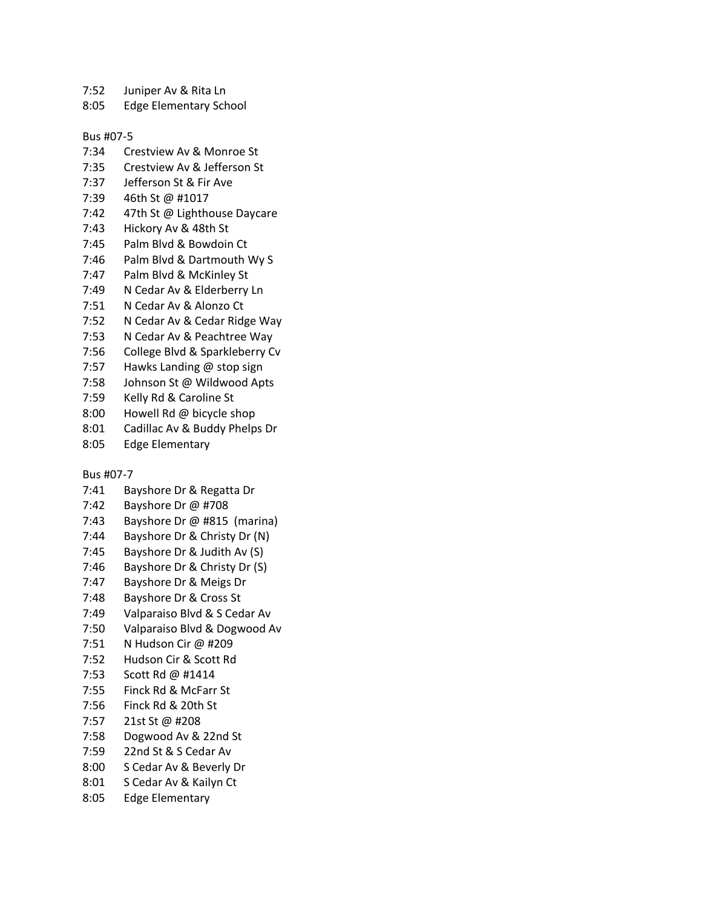- 7:52 Juniper Av & Rita Ln
- 8:05 Edge Elementary School

## Bus #07-5

- 7:34 Crestview Av & Monroe St
- 7:35 Crestview Av & Jefferson St
- 7:37 Jefferson St & Fir Ave
- 7:39 46th St @ #1017
- 7:42 47th St @ Lighthouse Daycare
- 7:43 Hickory Av & 48th St
- 7:45 Palm Blvd & Bowdoin Ct
- 7:46 Palm Blvd & Dartmouth Wy S
- 7:47 Palm Blvd & McKinley St
- 7:49 N Cedar Av & Elderberry Ln
- 7:51 N Cedar Av & Alonzo Ct
- 7:52 N Cedar Av & Cedar Ridge Way
- 7:53 N Cedar Av & Peachtree Way
- 7:56 College Blvd & Sparkleberry Cv
- 7:57 Hawks Landing @ stop sign
- 7:58 Johnson St @ Wildwood Apts
- 7:59 Kelly Rd & Caroline St
- 8:00 Howell Rd @ bicycle shop
- 8:01 Cadillac Av & Buddy Phelps Dr
- 8:05 Edge Elementary

## Bus #07-7

- 7:41 Bayshore Dr & Regatta Dr
- 7:42 Bayshore Dr @ #708
- 7:43 Bayshore Dr @ #815 (marina)
- 7:44 Bayshore Dr & Christy Dr (N)
- 7:45 Bayshore Dr & Judith Av (S)
- 7:46 Bayshore Dr & Christy Dr (S)
- 7:47 Bayshore Dr & Meigs Dr
- 7:48 Bayshore Dr & Cross St
- 7:49 Valparaiso Blvd & S Cedar Av
- 7:50 Valparaiso Blvd & Dogwood Av
- 7:51 N Hudson Cir @ #209
- 7:52 Hudson Cir & Scott Rd
- 7:53 Scott Rd @ #1414
- 7:55 Finck Rd & McFarr St
- 7:56 Finck Rd & 20th St
- 7:57 21st St @ #208
- 7:58 Dogwood Av & 22nd St
- 7:59 22nd St & S Cedar Av
- 8:00 S Cedar Av & Beverly Dr
- 8:01 S Cedar Av & Kailyn Ct
- 8:05 Edge Elementary